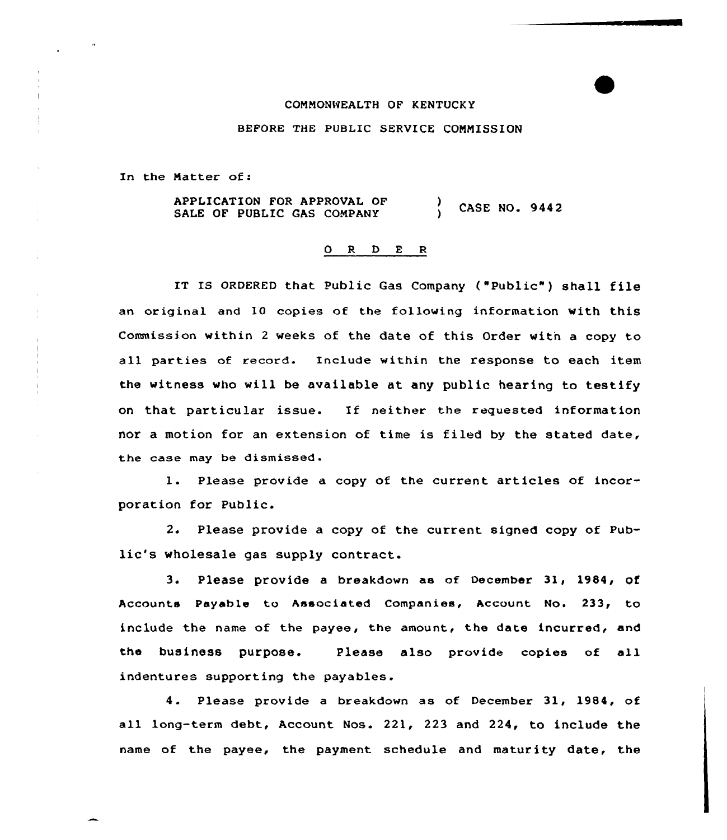## COMMONWEALTH OF KENTUCKY

## BEFORE THE PUBLIC SERVICE COMMISSION

In the Matter of:

APPLICATION FOR APPROVAL OF SALE OF PUBLIC GAS COMPANY (CASE NO. 9442

## ORDER

IT IS ORDERED that Public Gas Company ("Public" ) shall file an original and 10 copies of the following information with this Commission within <sup>2</sup> weeks of the date of this Order with a copy to all parties of record. Include within the response to each item the witness who will be available at any public hearing to testify on that particular issue. If neither the requested information nor a motion for an extension of time is filed by the stated date, the case may be dismissed.

1. Please provide <sup>a</sup> copy of the current articles of incorporation for Public.

2. Please provide a copy of the current signed copy of Public's wholesale gas supply contract.

3. Please provide <sup>a</sup> breakdown as of December 31, 1984, of Accounts Payable to Associated Companies, Account No. 233, to include the name of the payee, the amount, the date incurred, and the business purpose. Please also provide copies of all indentures supporting the payables.

4. Please provide a breakdown as of December 31, 1984, of all long-term debt, Account Nos. 221, 223 and 224, to include the name of the payee, the payment schedule and maturity date, the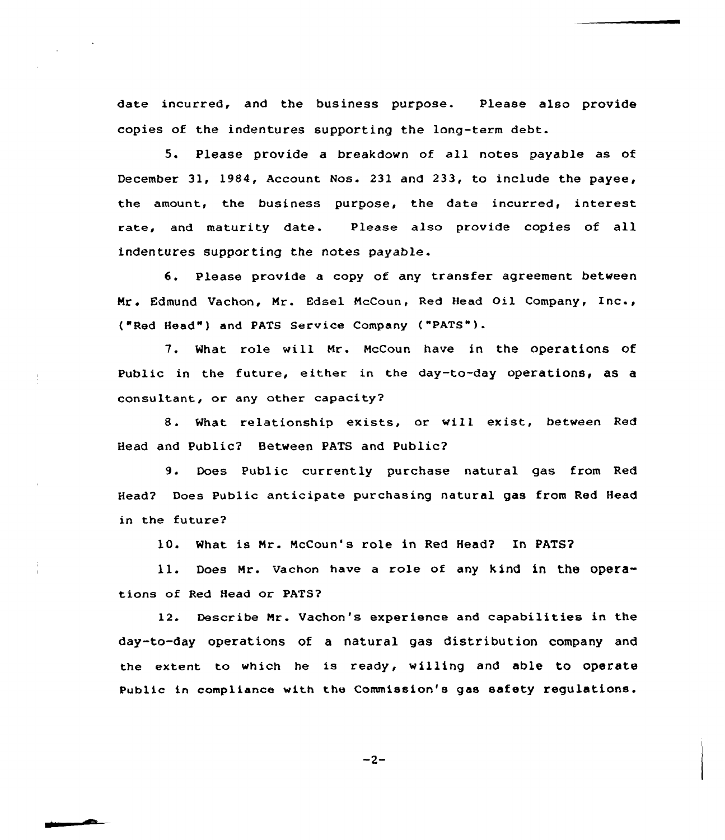date incurred, and the business purpose. Please also provide copies of the indentures supporting the long-term debt.

<sup>5</sup> <sup>~</sup> Please provide a breakdown of all notes payable as of December 31, 1984, Account Nos. 231 and 233, to include the payee, the amount, the business purpose, the date incurred, interest rate, and maturity date. Please also provide copies of all indentures supporting the notes payable.

6. Please provide a copy of any transfer agreement between Mr. Edmund Vachon, Mr. Edsel NcCoun, Red Head Oil Company, Inc., ("Red Head" ) and PATS Service Company ("PATS").

7. Mhat role will Nr. NcCoun have in the operations of Public in the future, either in the day-to-day operations, as a consultant, or any other capacity2

8. What relationship exists, or will exist, between Red Head and Public2 Between PATS and Public2

9. Does Public currently purchase natural gas from Red Head'? Does Public anticipate purchasing natural gas from Red Head in the future?

10. What is Mr. McCoun's role in Red Head? In PATS?

11. Does Mr. Uachon have <sup>a</sup> role of any kind in the operations of Red Head or PATS2

12. Describe Nr. Vachon's experience and capabilities in the day-to-day operations of a natural gas distribution company and the extent to which he is ready, willing and able to operate Public in compliance with the Commission's gas safety regulations.

$$
-2 -
$$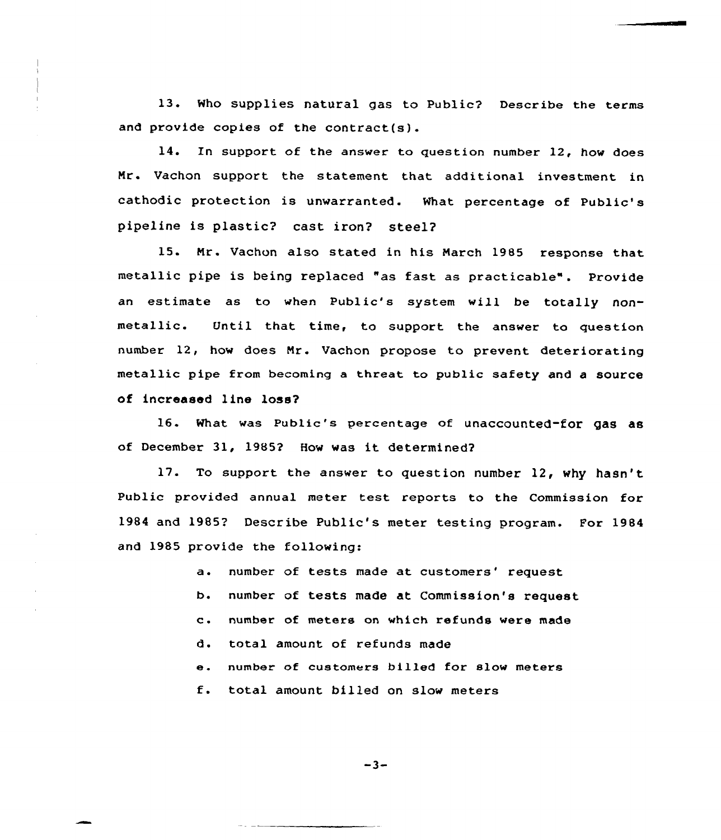13. Who supplies natural gas to Public? Describe the terms and provide copies of the contract(s).

14. In support of the answer to question number 12, how does Mr. Vachon support the statement that additional investment in cathodic protection is unwarranted. What percentage of Public's pipeline is plastic? cast iron? steel?

15. Mr. Vachon also stated in his March 1985 response that metallic pipe is being replaced "as fast as practicable". Provide an estimate as to when Public's system will be totally nonmetallic. Until that time, to support the answer to question number 12, how does Nr. Vachon propose to prevent deteriorating metallic pipe from becoming a threat to public safety and a source of increased line loss?

16. What was Public\*s percentage of unaccounted-for gas as of December 31, <sup>19852</sup> How was it determined2

17. To support the answer to question number 12, why hasn't Public provided annual meter test reports to the Commission for 1984 and 1985? Describe Public's meter testing program. For 1984 and 1985 provide the following:

> a. number of tests made at customers' request b. number of tests made at Commission's request c. number of meters on which refunds were made d. total amount of refunds made e. number of customers billed for slow meters f. total amount billed on slow meters

> > $-3-$